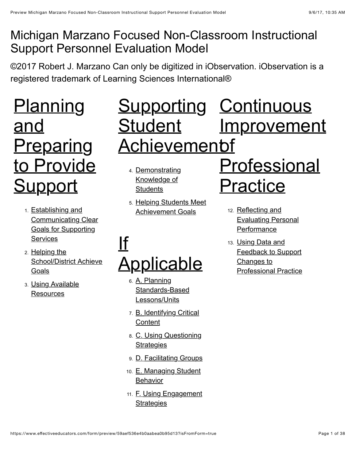### Michigan Marzano Focused Non-Classroom Instructional Support Personnel Evaluation Model

©2017 Robert J. Marzano Can only be digitized in iObservation. iObservation is a registered trademark of Learning Sciences International®

# **Planning** and **Preparing** [to Provide](#page-1-0) **Support**

- 1. Establishing and [Communicating Clear](#page-1-1) Goals for Supporting **Services**
- 2. Helping the [School/District Achieve](#page-3-0) Goals
- 3. [Using Available](#page-5-0) **Resources**

## Supporting Continuous **Student** <u>Achievemenbf</u> [Improvement](#page-24-0)

- 4. [Demonstrating](#page-6-1) Knowledge of **Students**
- 5. [Helping Students Meet](#page-9-0) Achievement Goals

# If [Applicable](#page-11-0)

- 6. A. Planning [Standards-Based](#page-11-1) Lessons/Units
- 7. [B. Identifying Critical](#page-13-0) **Content**
- 8. [C. Using Questioning](#page-15-0) **Strategies**
- 9. [D. Facilitating Groups](#page-17-0)
- 10. [E. Managing Student](#page-19-0) **Behavior**
- 11. [F. Using Engagement](#page-22-0) **Strategies**

# **Professional** Practice

- 12. Reflecting and [Evaluating Personal](#page-24-1) **Performance**
- 13. Using Data and Feedback to Support Changes to [Professional Practice](#page-25-0)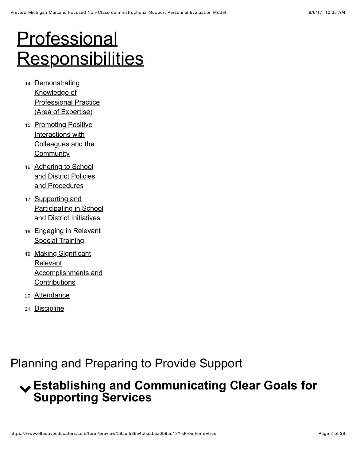# **Professional [Responsibilities](#page-26-0)**

- 14. Demonstrating Knowledge of [Professional Practice](#page-26-1) (Area of Expertise)
- 15. Promoting Positive Interactions with [Colleagues and the](#page-28-0) **Community**
- 16. Adhering to School [and District Policies](#page-30-0) and Procedures
- 17. Supporting and [Participating in School](#page-31-0) and District Initiatives
- 18. [Engaging in Relevant](#page-32-0) **Special Training**
- 19. Making Significant **Relevant** [Accomplishments and](#page-33-0) **Contributions**
- 20. [Attendance](#page-35-0)
- 21. [Discipline](#page-36-0)

### <span id="page-1-0"></span>Planning and Preparing to Provide Support

### <span id="page-1-1"></span>! **Establishing and Communicating Clear Goals for Supporting Services**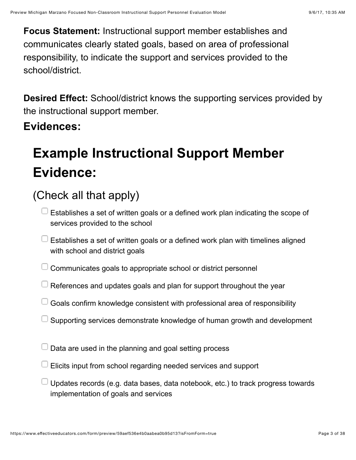**Focus Statement:** Instructional support member establishes and communicates clearly stated goals, based on area of professional responsibility, to indicate the support and services provided to the school/district.

**Desired Effect:** School/district knows the supporting services provided by the instructional support member.

#### **Evidences:**

## **Example Instructional Support Member Evidence:**

- $\Box$  Establishes a set of written goals or a defined work plan indicating the scope of services provided to the school
- $\Box$  Establishes a set of written goals or a defined work plan with timelines aligned with school and district goals
- $\Box$  Communicates goals to appropriate school or district personnel
- $\Box$  References and updates goals and plan for support throughout the year
- $\Box$  Goals confirm knowledge consistent with professional area of responsibility
- $\Box$  Supporting services demonstrate knowledge of human growth and development
- $\Box$  Data are used in the planning and goal setting process
- $\Box$  Elicits input from school regarding needed services and support
- Updates records (e.g. data bases, data notebook, etc.) to track progress towards implementation of goals and services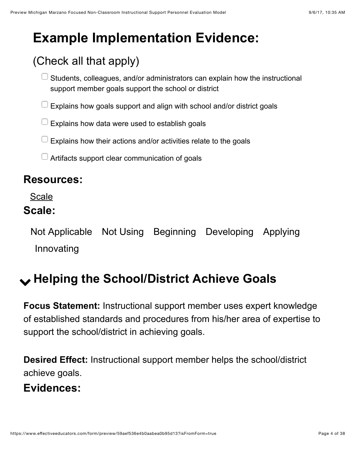## **Example Implementation Evidence:**

## (Check all that apply)

- Students, colleagues, and/or administrators can explain how the instructional support member goals support the school or district
- $\Box$  Explains how goals support and align with school and/or district goals
- $\Box$  Explains how data were used to establish goals
- Explains how their actions and/or activities relate to the goals
- $\Box$  Artifacts support clear communication of goals

#### **Resources:**

[Scale](https://www.effectiveeducators.com/resource/show/591ddf14e4b0a9a36fe6c636?popup=true&lookforId=59aef530e4b0aabea0b95be5&title=Scale)

#### **Scale:**

Not Applicable Not Using Beginning Developing Applying Innovating

## <span id="page-3-0"></span>! **Helping the School/District Achieve Goals**

**Focus Statement:** Instructional support member uses expert knowledge of established standards and procedures from his/her area of expertise to support the school/district in achieving goals.

**Desired Effect:** Instructional support member helps the school/district achieve goals.

#### **Evidences:**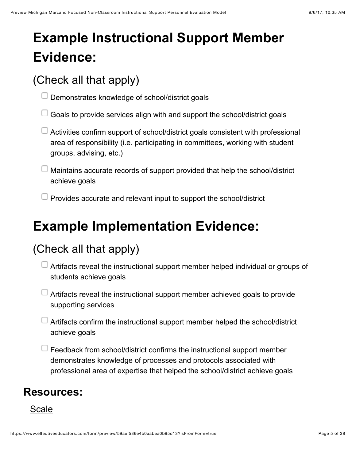## **Example Instructional Support Member Evidence:**

### (Check all that apply)

 $\Box$  Demonstrates knowledge of school/district goals

Goals to provide services align with and support the school/district goals

 $\Box$  Activities confirm support of school/district goals consistent with professional area of responsibility (i.e. participating in committees, working with student groups, advising, etc.)

Maintains accurate records of support provided that help the school/district achieve goals

 $\Box$  Provides accurate and relevant input to support the school/district

## **Example Implementation Evidence:**

### (Check all that apply)

- Artifacts reveal the instructional support member helped individual or groups of students achieve goals
- Artifacts reveal the instructional support member achieved goals to provide supporting services
- $\Box$  Artifacts confirm the instructional support member helped the school/district achieve goals
- $\Box$  Feedback from school/district confirms the instructional support member demonstrates knowledge of processes and protocols associated with professional area of expertise that helped the school/district achieve goals

#### **Resources:**

[Scale](https://www.effectiveeducators.com/resource/show/591de085e4b01e7af3abca1a?popup=true&lookforId=59aef530e4b0aabea0b95bf7&title=Scale)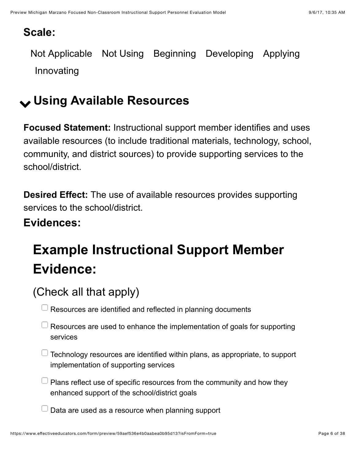#### **Scale:**

Not Applicable Not Using Beginning Developing Applying Innovating

## <span id="page-5-0"></span>! **Using Available Resources**

**Focused Statement:** Instructional support member identifies and uses available resources (to include traditional materials, technology, school, community, and district sources) to provide supporting services to the school/district.

**Desired Effect:** The use of available resources provides supporting services to the school/district.

#### **Evidences:**

## **Example Instructional Support Member Evidence:**

### (Check all that apply)

Resources are identified and reflected in planning documents

- $\Box$  Resources are used to enhance the implementation of goals for supporting services
- $\Box$  Technology resources are identified within plans, as appropriate, to support implementation of supporting services
- $\Box$  Plans reflect use of specific resources from the community and how they enhanced support of the school/district goals

Data are used as a resource when planning support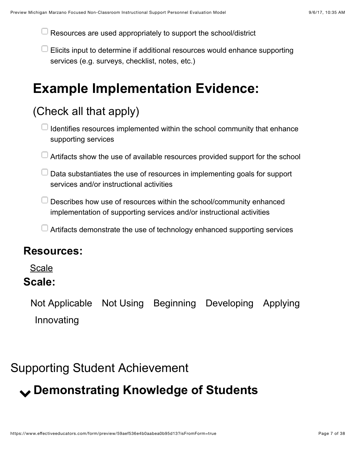Resources are used appropriately to support the school/district

 $\Box$  Elicits input to determine if additional resources would enhance supporting services (e.g. surveys, checklist, notes, etc.)

## **Example Implementation Evidence:**

### (Check all that apply)

 $\Box$  Identifies resources implemented within the school community that enhance supporting services

- $\Box$  Artifacts show the use of available resources provided support for the school
- $\Box$  Data substantiates the use of resources in implementing goals for support services and/or instructional activities
- $\Box$  Describes how use of resources within the school/community enhanced implementation of supporting services and/or instructional activities
- $\Box$  Artifacts demonstrate the use of technology enhanced supporting services

#### **Resources:**

**[Scale](https://www.effectiveeducators.com/resource/show/591de298e4b08fd1d05c42a4?popup=true&lookforId=59aef530e4b0aabea0b95c02&title=Scale)** 

#### **Scale:**

Not Applicable Not Using Beginning Developing Applying Innovating

### <span id="page-6-0"></span>Supporting Student Achievement

## <span id="page-6-1"></span>! **Demonstrating Knowledge of Students**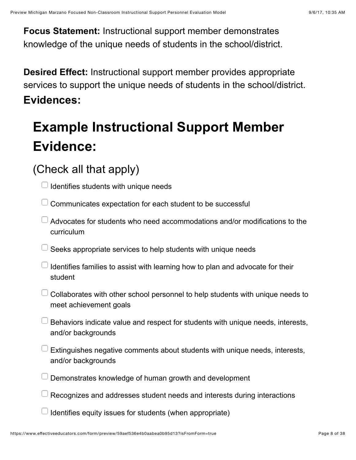**Focus Statement:** Instructional support member demonstrates knowledge of the unique needs of students in the school/district.

**Desired Effect:** Instructional support member provides appropriate services to support the unique needs of students in the school/district. **Evidences:**

## **Example Instructional Support Member Evidence:**

### (Check all that apply)

Identifies students with unique needs

- $\Box$  Communicates expectation for each student to be successful
- $\Box$  Advocates for students who need accommodations and/or modifications to the curriculum
- $\Box$  Seeks appropriate services to help students with unique needs
- $\Box$  Identifies families to assist with learning how to plan and advocate for their student
- Collaborates with other school personnel to help students with unique needs to meet achievement goals
- Behaviors indicate value and respect for students with unique needs, interests, and/or backgrounds
- $\Box$  Extinguishes negative comments about students with unique needs, interests, and/or backgrounds
- Demonstrates knowledge of human growth and development
- Recognizes and addresses student needs and interests during interactions

Identifies equity issues for students (when appropriate)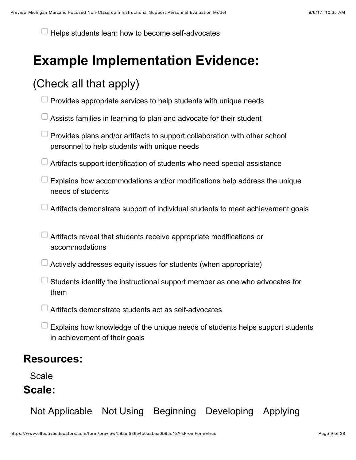Helps students learn how to become self-advocates

## **Example Implementation Evidence:**

### (Check all that apply)

- Provides appropriate services to help students with unique needs
- Assists families in learning to plan and advocate for their student
- $\Box$  Provides plans and/or artifacts to support collaboration with other school personnel to help students with unique needs
- Artifacts support identification of students who need special assistance
- $\Box$  Explains how accommodations and/or modifications help address the unique needs of students
- Artifacts demonstrate support of individual students to meet achievement goals
- Artifacts reveal that students receive appropriate modifications or accommodations
- $\Box$  Actively addresses equity issues for students (when appropriate)
	- Students identify the instructional support member as one who advocates for them
- Artifacts demonstrate students act as self-advocates
- Explains how knowledge of the unique needs of students helps support students in achievement of their goals

#### **Resources:**

[Scale](https://www.effectiveeducators.com/resource/show/591de377e4b01e7af3abd013?popup=true&lookforId=59aef531e4b0aabea0b95c10&title=Scale) **Scale:**

Not Applicable Not Using Beginning Developing Applying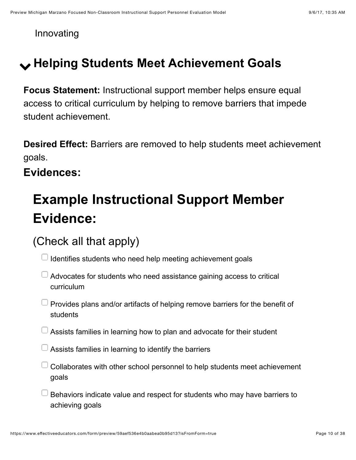Innovating

## <span id="page-9-0"></span>! **Helping Students Meet Achievement Goals**

**Focus Statement:** Instructional support member helps ensure equal access to critical curriculum by helping to remove barriers that impede student achievement.

**Desired Effect:** Barriers are removed to help students meet achievement goals.

**Evidences:**

## **Example Instructional Support Member Evidence:**

### (Check all that apply)

 $\Box$  Identifies students who need help meeting achievement goals

- $\Box$  Advocates for students who need assistance gaining access to critical curriculum
- $\Box$  Provides plans and/or artifacts of helping remove barriers for the benefit of students
- Assists families in learning how to plan and advocate for their student
- $\Box$  Assists families in learning to identify the barriers
- Collaborates with other school personnel to help students meet achievement goals
- $\Box$  Behaviors indicate value and respect for students who may have barriers to achieving goals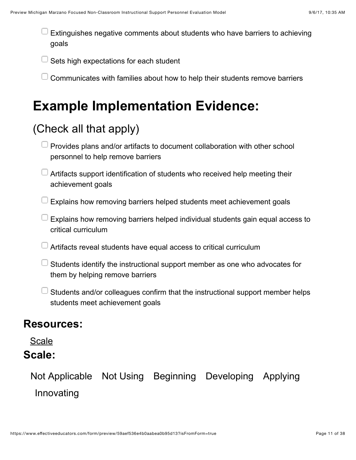Extinguishes negative comments about students who have barriers to achieving goals

Sets high expectations for each student

Communicates with families about how to help their students remove barriers

## **Example Implementation Evidence:**

### (Check all that apply)

| $\Box$ Provides plans and/or artifacts to document collaboration with other school |
|------------------------------------------------------------------------------------|
| personnel to help remove barriers                                                  |

<sup>1</sup> Artifacts support identification of students who received help meeting their achievement goals

Explains how removing barriers helped students meet achievement goals

 $\Box$  Explains how removing barriers helped individual students gain equal access to critical curriculum

 $\Box$  Artifacts reveal students have equal access to critical curriculum

 $\Box$  Students identify the instructional support member as one who advocates for them by helping remove barriers

Students and/or colleagues confirm that the instructional support member helps students meet achievement goals

#### **Resources:**

#### **[Scale](https://www.effectiveeducators.com/resource/show/591de446e4b08fd1d05c46e2?popup=true&lookforId=59aef531e4b0aabea0b95c2d&title=Scale)**

#### **Scale:**

Not Applicable Not Using Beginning Developing Applying Innovating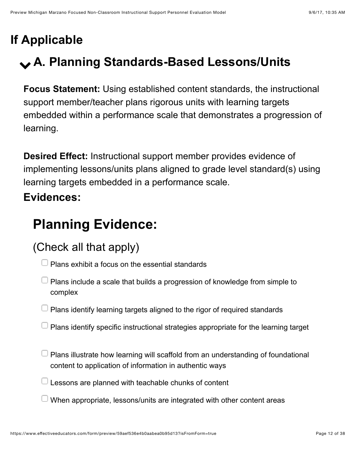## <span id="page-11-0"></span>**If Applicable**

## <span id="page-11-1"></span>! **A. Planning Standards-Based Lessons/Units**

**Focus Statement:** Using established content standards, the instructional support member/teacher plans rigorous units with learning targets embedded within a performance scale that demonstrates a progression of learning.

**Desired Effect:** Instructional support member provides evidence of implementing lessons/units plans aligned to grade level standard(s) using learning targets embedded in a performance scale.

### **Evidences:**

## **Planning Evidence:**

- $\Box$  Plans exhibit a focus on the essential standards
- $\Box$  Plans include a scale that builds a progression of knowledge from simple to complex
- $\Box$  Plans identify learning targets aligned to the rigor of required standards
- $\Box$  Plans identify specific instructional strategies appropriate for the learning target
- $\Box$  Plans illustrate how learning will scaffold from an understanding of foundational content to application of information in authentic ways
- $\Box$  Lessons are planned with teachable chunks of content
- $\Box$  When appropriate, lessons/units are integrated with other content areas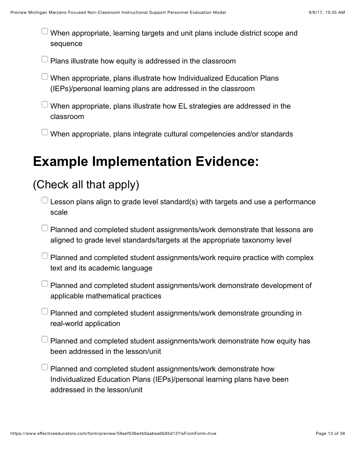When appropriate, learning targets and unit plans include district scope and sequence

Plans illustrate how equity is addressed in the classroom

- When appropriate, plans illustrate how Individualized Education Plans (IEPs)/personal learning plans are addressed in the classroom
- When appropriate, plans illustrate how EL strategies are addressed in the classroom
- When appropriate, plans integrate cultural competencies and/or standards

## **Example Implementation Evidence:**

- Lesson plans align to grade level standard(s) with targets and use a performance scale
- Planned and completed student assignments/work demonstrate that lessons are aligned to grade level standards/targets at the appropriate taxonomy level
- $\Box$  Planned and completed student assignments/work require practice with complex text and its academic language
- Planned and completed student assignments/work demonstrate development of applicable mathematical practices
- $\Box$  Planned and completed student assignments/work demonstrate grounding in real-world application
- Planned and completed student assignments/work demonstrate how equity has been addressed in the lesson/unit
- Planned and completed student assignments/work demonstrate how Individualized Education Plans (IEPs)/personal learning plans have been addressed in the lesson/unit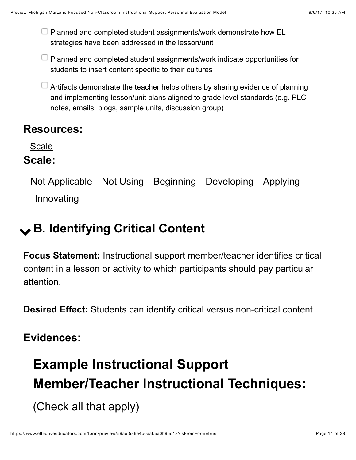$\Box$  Planned and completed student assignments/work demonstrate how EL strategies have been addressed in the lesson/unit

- $\Box$  Planned and completed student assignments/work indicate opportunities for students to insert content specific to their cultures
- $\Box$  Artifacts demonstrate the teacher helps others by sharing evidence of planning and implementing lesson/unit plans aligned to grade level standards (e.g. PLC notes, emails, blogs, sample units, discussion group)

#### **Resources:**

**[Scale](https://www.effectiveeducators.com/resource/show/591de619e4b01e7af3abd4e0?popup=true&lookforId=59aef532e4b0aabea0b95c41&title=Scale)** 

#### **Scale:**

Not Applicable Not Using Beginning Developing Applying Innovating

## <span id="page-13-0"></span>! **B. Identifying Critical Content**

**Focus Statement:** Instructional support member/teacher identifies critical content in a lesson or activity to which participants should pay particular attention.

**Desired Effect:** Students can identify critical versus non-critical content.

### **Evidences:**

## **Example Instructional Support Member/Teacher Instructional Techniques:**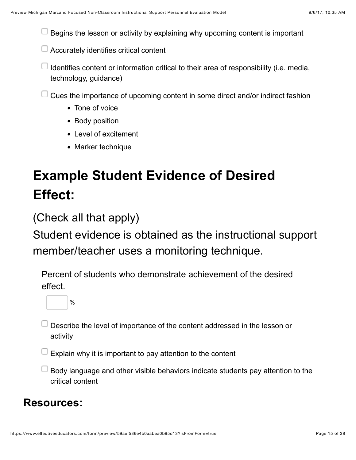Begins the lesson or activity by explaining why upcoming content is important

Accurately identifies critical content

- I Identifies content or information critical to their area of responsibility (i.e. media, technology, guidance)
- Cues the importance of upcoming content in some direct and/or indirect fashion
	- Tone of voice
	- Body position
	- Level of excitement
	- Marker technique

## **Example Student Evidence of Desired Effect:**

(Check all that apply)

Student evidence is obtained as the instructional support member/teacher uses a monitoring technique.

Percent of students who demonstrate achievement of the desired effect.



- Describe the level of importance of the content addressed in the lesson or activity
- Explain why it is important to pay attention to the content
- Body language and other visible behaviors indicate students pay attention to the critical content

#### **Resources:**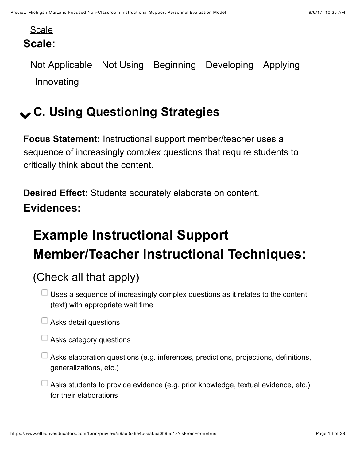#### [Scale](https://www.effectiveeducators.com/resource/show/591de6ebe4b01e7af3abd67b?popup=true&lookforId=59aef532e4b0aabea0b95c5a&title=Scale) **Scale:**

Not Applicable Not Using Beginning Developing Applying Innovating

## <span id="page-15-0"></span>! **C. Using Questioning Strategies**

**Focus Statement:** Instructional support member/teacher uses a sequence of increasingly complex questions that require students to critically think about the content.

**Desired Effect:** Students accurately elaborate on content. **Evidences:**

## **Example Instructional Support Member/Teacher Instructional Techniques:**

- $\Box$  Uses a sequence of increasingly complex questions as it relates to the content (text) with appropriate wait time
- $\Box$  Asks detail questions
- $\Box$  Asks category questions
- $\Box$  Asks elaboration questions (e.g. inferences, predictions, projections, definitions, generalizations, etc.)
- $\Box$  Asks students to provide evidence (e.g. prior knowledge, textual evidence, etc.) for their elaborations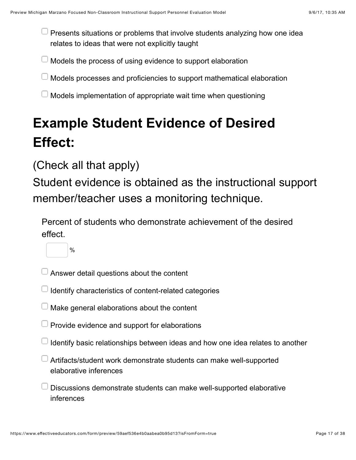$\Box$  Presents situations or problems that involve students analyzing how one idea relates to ideas that were not explicitly taught

Models the process of using evidence to support elaboration

- Models processes and proficiencies to support mathematical elaboration
- Models implementation of appropriate wait time when questioning

## **Example Student Evidence of Desired Effect:**

### (Check all that apply)

%

Student evidence is obtained as the instructional support member/teacher uses a monitoring technique.

Percent of students who demonstrate achievement of the desired effect.



- Identify characteristics of content-related categories
- $\Box$  Make general elaborations about the content
- Provide evidence and support for elaborations
- Identify basic relationships between ideas and how one idea relates to another
- Artifacts/student work demonstrate students can make well-supported elaborative inferences
- Discussions demonstrate students can make well-supported elaborative inferences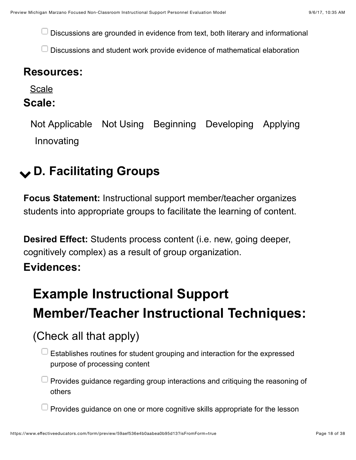Discussions are grounded in evidence from text, both literary and informational

Discussions and student work provide evidence of mathematical elaboration

#### **Resources:**

[Scale](https://www.effectiveeducators.com/resource/show/591de7a9e4b028cf75894883?popup=true&lookforId=59aef532e4b0aabea0b95c64&title=Scale)

#### **Scale:**

Not Applicable Not Using Beginning Developing Applying Innovating

## <span id="page-17-0"></span>! **D. Facilitating Groups**

**Focus Statement:** Instructional support member/teacher organizes students into appropriate groups to facilitate the learning of content.

**Desired Effect:** Students process content (i.e. new, going deeper, cognitively complex) as a result of group organization.

#### **Evidences:**

## **Example Instructional Support Member/Teacher Instructional Techniques:**

- (Check all that apply)
	- Establishes routines for student grouping and interaction for the expressed purpose of processing content
	- $\Box$  Provides guidance regarding group interactions and critiquing the reasoning of others
	- Provides guidance on one or more cognitive skills appropriate for the lesson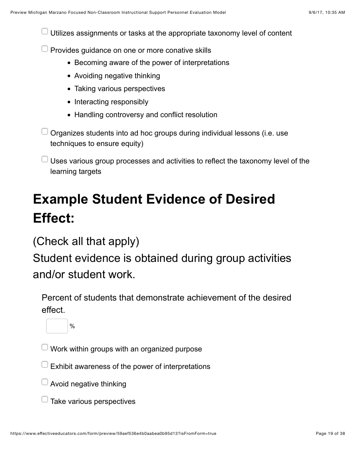Utilizes assignments or tasks at the appropriate taxonomy level of content

 $\Box$  Provides guidance on one or more conative skills

- Becoming aware of the power of interpretations
- Avoiding negative thinking
- Taking various perspectives
- Interacting responsibly
- Handling controversy and conflict resolution

Organizes students into ad hoc groups during individual lessons (i.e. use techniques to ensure equity)

 $\Box$  Uses various group processes and activities to reflect the taxonomy level of the learning targets

## **Example Student Evidence of Desired Effect:**

(Check all that apply)

Student evidence is obtained during group activities and/or student work.

Percent of students that demonstrate achievement of the desired effect.

 $\frac{0}{0}$ 

 $\perp$  Work within groups with an organized purpose

 $\Box$  Exhibit awareness of the power of interpretations

Avoid negative thinking

 $\Box$  Take various perspectives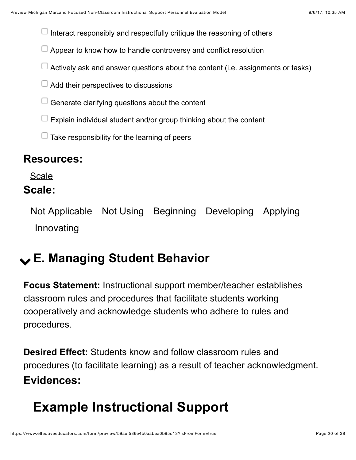Interact responsibly and respectfully critique the reasoning of others

- $\Box$  Appear to know how to handle controversy and conflict resolution
- $\Box$  Actively ask and answer questions about the content (i.e. assignments or tasks)
- $\Box$  Add their perspectives to discussions
- Generate clarifying questions about the content
- Explain individual student and/or group thinking about the content

 $\Box$  Take responsibility for the learning of peers

#### **Resources:**

[Scale](https://www.effectiveeducators.com/resource/show/591de847e4b08fd1d05c4f94?popup=true&lookforId=59aef533e4b0aabea0b95c7a&title=Scale)

#### **Scale:**

Not Applicable Not Using Beginning Developing Applying Innovating

## <span id="page-19-0"></span>! **E. Managing Student Behavior**

**Focus Statement:** Instructional support member/teacher establishes classroom rules and procedures that facilitate students working cooperatively and acknowledge students who adhere to rules and procedures.

**Desired Effect:** Students know and follow classroom rules and procedures (to facilitate learning) as a result of teacher acknowledgment. **Evidences:**

## **Example Instructional Support**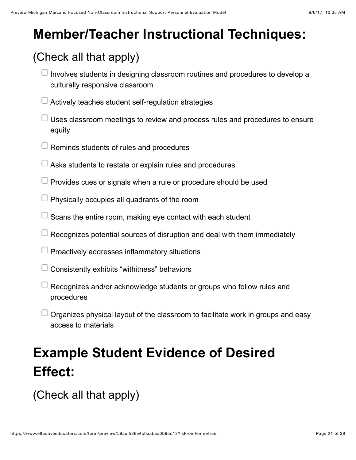## **Member/Teacher Instructional Techniques:**

### (Check all that apply)

- $\Box$  Involves students in designing classroom routines and procedures to develop a culturally responsive classroom
- Actively teaches student self-regulation strategies
- Uses classroom meetings to review and process rules and procedures to ensure equity
- $\Box$  Reminds students of rules and procedures
- Asks students to restate or explain rules and procedures
- $\Box$  Provides cues or signals when a rule or procedure should be used
- **Physically occupies all quadrants of the room**
- Scans the entire room, making eye contact with each student
- $\Box$  Recognizes potential sources of disruption and deal with them immediately
- $\Box$  Proactively addresses inflammatory situations
- Consistently exhibits "withitness" behaviors
- Recognizes and/or acknowledge students or groups who follow rules and procedures
- $\Box$  Organizes physical layout of the classroom to facilitate work in groups and easy access to materials

## **Example Student Evidence of Desired Effect:**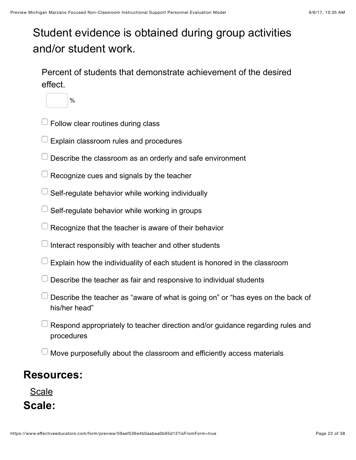### Student evidence is obtained during group activities and/or student work.

Percent of students that demonstrate achievement of the desired effect.



- $\Box$  Follow clear routines during class
- Explain classroom rules and procedures
- $\Box$  Describe the classroom as an orderly and safe environment
- Recognize cues and signals by the teacher
- Self-regulate behavior while working individually
- Self-regulate behavior while working in groups
- Recognize that the teacher is aware of their behavior
- Interact responsibly with teacher and other students
- Explain how the individuality of each student is honored in the classroom
- $\Box$  Describe the teacher as fair and responsive to individual students
- Describe the teacher as "aware of what is going on" or "has eyes on the back of his/her head"
- Respond appropriately to teacher direction and/or guidance regarding rules and procedures
- Move purposefully about the classroom and efficiently access materials

#### **Resources:**

[Scale](https://www.effectiveeducators.com/resource/show/591de953e4b0a9a36fe6dead?popup=true&lookforId=59aef533e4b0aabea0b95c8f&title=Scale) **Scale:**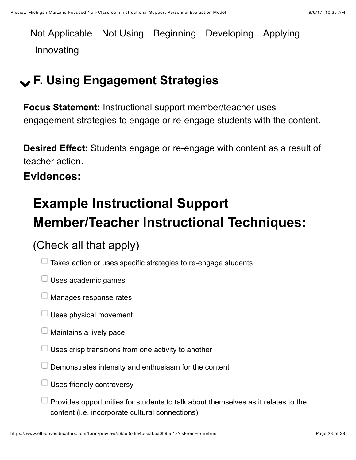Not Applicable Not Using Beginning Developing Applying Innovating

## <span id="page-22-0"></span>! **F. Using Engagement Strategies**

**Focus Statement:** Instructional support member/teacher uses engagement strategies to engage or re-engage students with the content.

**Desired Effect:** Students engage or re-engage with content as a result of teacher action.

**Evidences:**

## **Example Instructional Support Member/Teacher Instructional Techniques:**

- $\Box$  Takes action or uses specific strategies to re-engage students
- $\Box$  Uses academic games
- $\Box$  Manages response rates
- $\Box$  Uses physical movement
- $\Box$  Maintains a lively pace
- Uses crisp transitions from one activity to another
- Demonstrates intensity and enthusiasm for the content
- $\Box$  Uses friendly controversy
- $\Box$  Provides opportunities for students to talk about themselves as it relates to the content (i.e. incorporate cultural connections)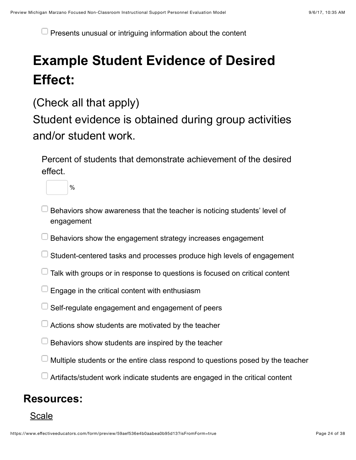$\Box$  Presents unusual or intriguing information about the content

## **Example Student Evidence of Desired Effect:**

(Check all that apply)

Student evidence is obtained during group activities and/or student work.

Percent of students that demonstrate achievement of the desired effect.



- Behaviors show awareness that the teacher is noticing students' level of engagement
- Behaviors show the engagement strategy increases engagement
- $\Box$  Student-centered tasks and processes produce high levels of engagement
- $\Box$  Talk with groups or in response to questions is focused on critical content
- Engage in the critical content with enthusiasm
- Self-regulate engagement and engagement of peers
- Actions show students are motivated by the teacher
- Behaviors show students are inspired by the teacher
- Multiple students or the entire class respond to questions posed by the teacher
- <sup>1</sup> Artifacts/student work indicate students are engaged in the critical content

#### **Resources:**

#### [Scale](https://www.effectiveeducators.com/resource/show/58dbfa46e4b0539c02d39167?popup=true&lookforId=59aef533e4b0aabea0b95cac&title=Scale)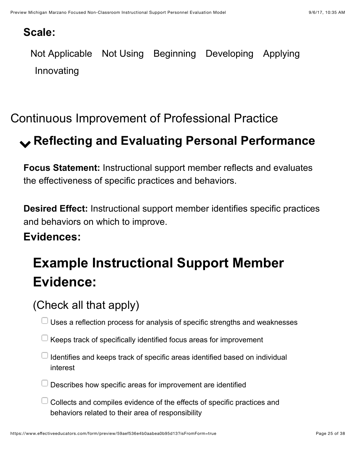#### **Scale:**

Not Applicable Not Using Beginning Developing Applying Innovating

### <span id="page-24-0"></span>Continuous Improvement of Professional Practice

## <span id="page-24-1"></span>! **Reflecting and Evaluating Personal Performance**

**Focus Statement:** Instructional support member reflects and evaluates the effectiveness of specific practices and behaviors.

**Desired Effect:** Instructional support member identifies specific practices and behaviors on which to improve.

#### **Evidences:**

## **Example Instructional Support Member Evidence:**

### (Check all that apply)

 $\Box$  Uses a reflection process for analysis of specific strengths and weaknesses

- $\Box$  Keeps track of specifically identified focus areas for improvement
- $\Box$  Identifies and keeps track of specific areas identified based on individual interest
- $\Box$  Describes how specific areas for improvement are identified
- Collects and compiles evidence of the effects of specific practices and behaviors related to their area of responsibility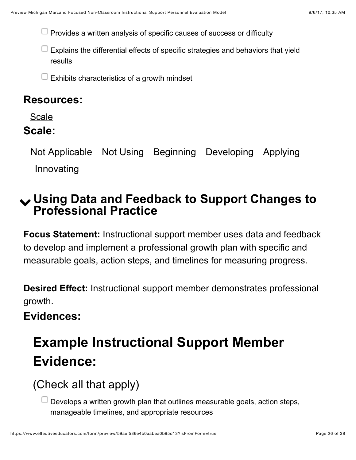$\Box$  Provides a written analysis of specific causes of success or difficulty

 $\Box$  Explains the differential effects of specific strategies and behaviors that yield results

Exhibits characteristics of a growth mindset

#### **Resources:**

[Scale](https://www.effectiveeducators.com/resource/show/591dec7ce4b01e7af3abe10a?popup=true&lookforId=59aef534e4b0aabea0b95cc4&title=Scale)

#### **Scale:**

Not Applicable Not Using Beginning Developing Applying Innovating

### <span id="page-25-0"></span>! **Using Data and Feedback to Support Changes to Professional Practice**

**Focus Statement:** Instructional support member uses data and feedback to develop and implement a professional growth plan with specific and measurable goals, action steps, and timelines for measuring progress.

**Desired Effect:** Instructional support member demonstrates professional growth.

#### **Evidences:**

## **Example Instructional Support Member Evidence:**

(Check all that apply)

Develops a written growth plan that outlines measurable goals, action steps, manageable timelines, and appropriate resources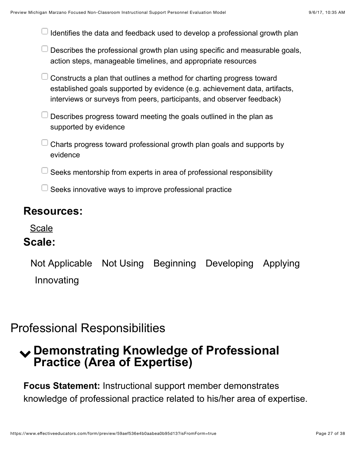|  | $\Box$ Identifies the data and feedback used to develop a professional growth plan |  |
|--|------------------------------------------------------------------------------------|--|
|  |                                                                                    |  |

- $\Box$  Describes the professional growth plan using specific and measurable goals, action steps, manageable timelines, and appropriate resources
- $\Box$  Constructs a plan that outlines a method for charting progress toward established goals supported by evidence (e.g. achievement data, artifacts, interviews or surveys from peers, participants, and observer feedback)
- $\Box$  Describes progress toward meeting the goals outlined in the plan as supported by evidence
- Charts progress toward professional growth plan goals and supports by evidence
- Seeks mentorship from experts in area of professional responsibility
- Seeks innovative ways to improve professional practice

#### **Resources:**

[Scale](https://www.effectiveeducators.com/resource/show/591df117e4b08fd1d05c5f83?popup=true&lookforId=59aef534e4b0aabea0b95cce&title=Scale)

#### **Scale:**

Not Applicable Not Using Beginning Developing Applying Innovating

### <span id="page-26-0"></span>Professional Responsibilities

### <span id="page-26-1"></span>! **Demonstrating Knowledge of Professional Practice (Area of Expertise)**

**Focus Statement:** Instructional support member demonstrates knowledge of professional practice related to his/her area of expertise.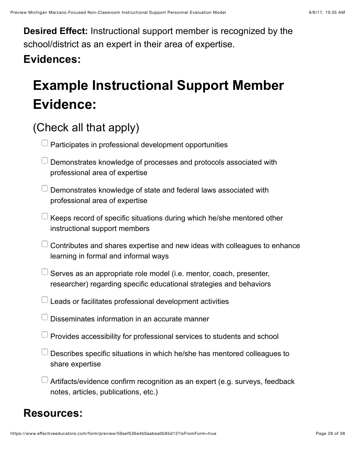**Desired Effect:** Instructional support member is recognized by the school/district as an expert in their area of expertise.

### **Evidences:**

## **Example Instructional Support Member Evidence:**

### (Check all that apply)

|  |  | $\Box$ Participates in professional development opportunities |  |  |
|--|--|---------------------------------------------------------------|--|--|
|--|--|---------------------------------------------------------------|--|--|

- Demonstrates knowledge of processes and protocols associated with professional area of expertise
- $\Box$  Demonstrates knowledge of state and federal laws associated with professional area of expertise
- $\perp$  Keeps record of specific situations during which he/she mentored other instructional support members
- $\Box$  Contributes and shares expertise and new ideas with colleagues to enhance learning in formal and informal ways
- Serves as an appropriate role model (i.e. mentor, coach, presenter, researcher) regarding specific educational strategies and behaviors
- $\Box$  Leads or facilitates professional development activities
- Disseminates information in an accurate manner
- Provides accessibility for professional services to students and school
- Describes specific situations in which he/she has mentored colleagues to share expertise
- Artifacts/evidence confirm recognition as an expert (e.g. surveys, feedback notes, articles, publications, etc.)

#### **Resources:**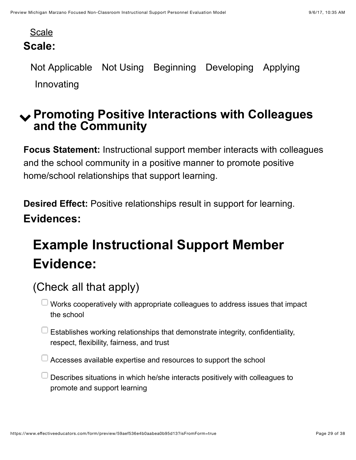#### [Scale](https://www.effectiveeducators.com/resource/show/591df1dfe4b08fd1d05c60e2?popup=true&lookforId=59aef534e4b0aabea0b95cd9&title=Scale) **Scale:**

Not Applicable Not Using Beginning Developing Applying Innovating

### <span id="page-28-0"></span>! **Promoting Positive Interactions with Colleagues and the Community**

**Focus Statement:** Instructional support member interacts with colleagues and the school community in a positive manner to promote positive home/school relationships that support learning.

**Desired Effect:** Positive relationships result in support for learning. **Evidences:**

## **Example Instructional Support Member Evidence:**

### (Check all that apply)

 $\perp$  Works cooperatively with appropriate colleagues to address issues that impact the school

 $\Box$  Establishes working relationships that demonstrate integrity, confidentiality, respect, flexibility, fairness, and trust

 $\Box$  Accesses available expertise and resources to support the school

Describes situations in which he/she interacts positively with colleagues to promote and support learning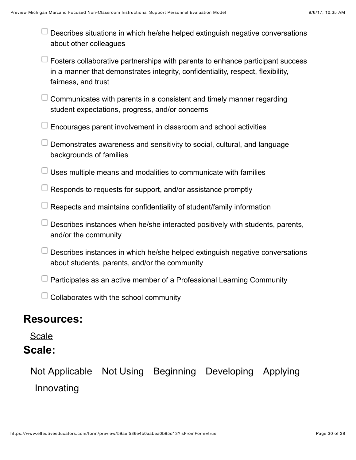| $\Box$ Describes situations in which he/she helped extinguish negative conversations |
|--------------------------------------------------------------------------------------|
| about other colleagues                                                               |

- Fosters collaborative partnerships with parents to enhance participant success in a manner that demonstrates integrity, confidentiality, respect, flexibility, fairness, and trust
- $\Box$  Communicates with parents in a consistent and timely manner regarding student expectations, progress, and/or concerns
- Encourages parent involvement in classroom and school activities
- Demonstrates awareness and sensitivity to social, cultural, and language backgrounds of families
- $\perp$  Uses multiple means and modalities to communicate with families
- Responds to requests for support, and/or assistance promptly
- Respects and maintains confidentiality of student/family information
- Describes instances when he/she interacted positively with students, parents, and/or the community
- $\Box$  Describes instances in which he/she helped extinguish negative conversations about students, parents, and/or the community
- Participates as an active member of a Professional Learning Community
- $\Box$  Collaborates with the school community

#### **Resources:**

#### [Scale](https://www.effectiveeducators.com/resource/show/591df2efe4b028cf75895fb2?popup=true&lookforId=59aef535e4b0aabea0b95ce8&title=Scale)

#### **Scale:**

Not Applicable Not Using Beginning Developing Applying Innovating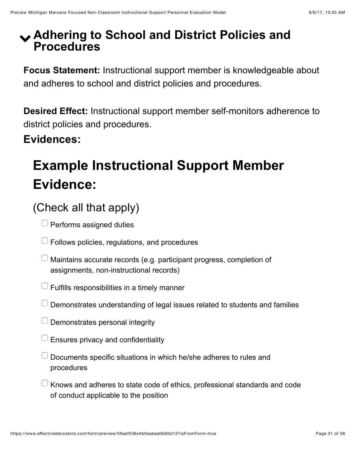### <span id="page-30-0"></span>! **Adhering to School and District Policies and Procedures**

**Focus Statement:** Instructional support member is knowledgeable about and adheres to school and district policies and procedures.

**Desired Effect:** Instructional support member self-monitors adherence to district policies and procedures.

**Evidences:**

## **Example Instructional Support Member Evidence:**

- $\Box$  Performs assigned duties
- $\Box$  Follows policies, regulations, and procedures
- $\Box$  Maintains accurate records (e.g. participant progress, completion of assignments, non-instructional records)
- Fulfills responsibilities in a timely manner
- $\Box$  Demonstrates understanding of legal issues related to students and families
- Demonstrates personal integrity
- Ensures privacy and confidentiality
- $\Box$  Documents specific situations in which he/she adheres to rules and procedures
- $\Box$  Knows and adheres to state code of ethics, professional standards and code of conduct applicable to the position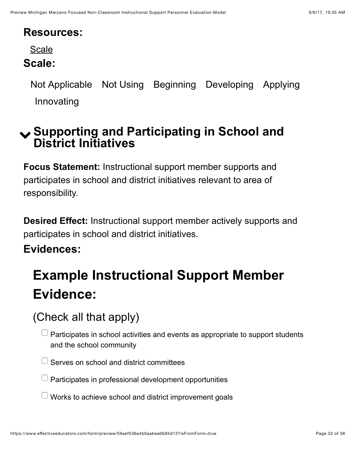#### **Resources:**

[Scale](https://www.effectiveeducators.com/resource/show/591df3b7e4b08fd1d05c63e7?popup=true&lookforId=59aef535e4b0aabea0b95cfb&title=Scale)

#### **Scale:**

Not Applicable Not Using Beginning Developing Applying Innovating

### <span id="page-31-0"></span>! **Supporting and Participating in School and District Initiatives**

**Focus Statement:** Instructional support member supports and participates in school and district initiatives relevant to area of responsibility.

**Desired Effect:** Instructional support member actively supports and participates in school and district initiatives.

#### **Evidences:**

## **Example Instructional Support Member Evidence:**

### (Check all that apply)

Participates in school activities and events as appropriate to support students and the school community

Serves on school and district committees

 $\Box$  Participates in professional development opportunities

Works to achieve school and district improvement goals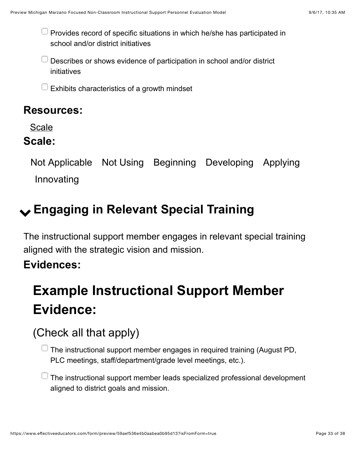$\Box$  Provides record of specific situations in which he/she has participated in school and/or district initiatives

Describes or shows evidence of participation in school and/or district initiatives

Exhibits characteristics of a growth mindset

### **Resources:**

[Scale](https://www.effectiveeducators.com/resource/show/591df48be4b028cf7589643d?popup=true&lookforId=59aef535e4b0aabea0b95d08&title=Scale)

#### **Scale:**

Not Applicable Not Using Beginning Developing Applying Innovating

## <span id="page-32-0"></span>! **Engaging in Relevant Special Training**

The instructional support member engages in relevant special training aligned with the strategic vision and mission.

### **Evidences:**

## **Example Instructional Support Member Evidence:**

### (Check all that apply)

 $\Box$  The instructional support member engages in required training (August PD, PLC meetings, staff/department/grade level meetings, etc.).

 $\Box$  The instructional support member leads specialized professional development aligned to district goals and mission.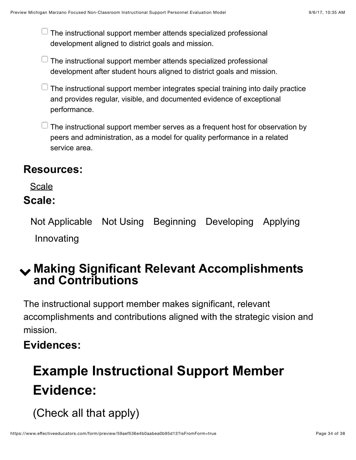$\Box$  The instructional support member attends specialized professional development aligned to district goals and mission.

The instructional support member attends specialized professional development after student hours aligned to district goals and mission.

 $\perp$  The instructional support member integrates special training into daily practice and provides regular, visible, and documented evidence of exceptional performance.

 $\Box$  The instructional support member serves as a frequent host for observation by peers and administration, as a model for quality performance in a related service area.

#### **Resources:**

#### **[Scale](https://www.effectiveeducators.com/resource/show/59aef991e4b08202640c78fd?popup=true&lookforId=59aefaece4b08a962a736e2b&title=Scale)**

#### **Scale:**

Not Applicable Not Using Beginning Developing Applying Innovating

### <span id="page-33-0"></span>! **Making Significant Relevant Accomplishments and Contributions**

The instructional support member makes significant, relevant accomplishments and contributions aligned with the strategic vision and mission.

### **Evidences:**

## **Example Instructional Support Member Evidence:**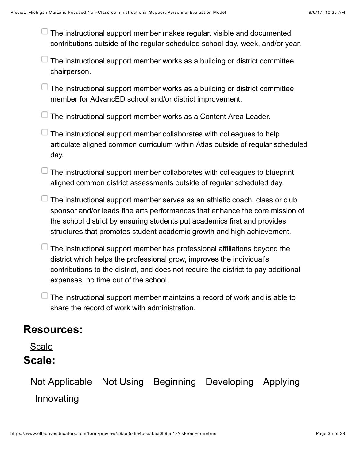$\Box$  The instructional support member makes regular, visible and documented contributions outside of the regular scheduled school day, week, and/or year.

The instructional support member works as a building or district committee chairperson.

 $\perp$  The instructional support member works as a building or district committee member for AdvancED school and/or district improvement.

 $\Box$  The instructional support member works as a Content Area Leader.

- The instructional support member collaborates with colleagues to help articulate aligned common curriculum within Atlas outside of regular scheduled day.
- $\Box$  The instructional support member collaborates with colleagues to blueprint aligned common district assessments outside of regular scheduled day.
- The instructional support member serves as an athletic coach, class or club sponsor and/or leads fine arts performances that enhance the core mission of the school district by ensuring students put academics first and provides structures that promotes student academic growth and high achievement.
- The instructional support member has professional affiliations beyond the district which helps the professional grow, improves the individual's contributions to the district, and does not require the district to pay additional expenses; no time out of the school.
- The instructional support member maintains a record of work and is able to share the record of work with administration.

#### **Resources:**

[Scale](https://www.effectiveeducators.com/resource/show/59aefa9ce4b08a962a736d99?popup=true&lookforId=59aefb84e4b08a962a736f83&title=Scale)

#### **Scale:**

Not Applicable Not Using Beginning Developing Applying Innovating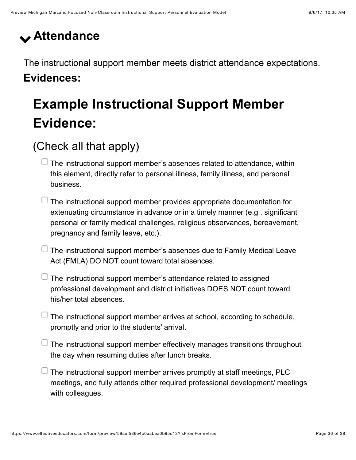## <span id="page-35-0"></span>! **Attendance**

The instructional support member meets district attendance expectations. **Evidences:**

## **Example Instructional Support Member Evidence:**

### (Check all that apply)

 $\Box$  The instructional support member's absences related to attendance, within this element, directly refer to personal illness, family illness, and personal business.

- $\Box$  The instructional support member provides appropriate documentation for extenuating circumstance in advance or in a timely manner (e.g . significant personal or family medical challenges, religious observances, bereavement, pregnancy and family leave, etc.).
- $\Box$  The instructional support member's absences due to Family Medical Leave Act (FMLA) DO NOT count toward total absences.
- $\perp$  The instructional support member's attendance related to assigned professional development and district initiatives DOES NOT count toward his/her total absences.
- $\Box$  The instructional support member arrives at school, according to schedule, promptly and prior to the students' arrival.
- $\Box$  The instructional support member effectively manages transitions throughout the day when resuming duties after lunch breaks.
- The instructional support member arrives promptly at staff meetings, PLC meetings, and fully attends other required professional development/ meetings with colleagues.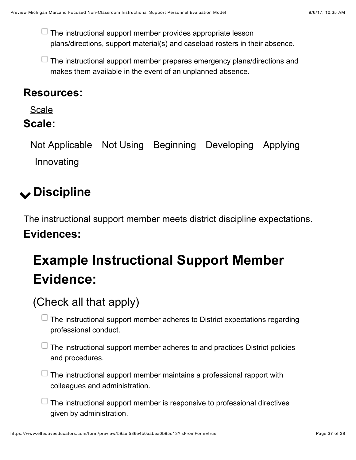$\Box$  The instructional support member provides appropriate lesson plans/directions, support material(s) and caseload rosters in their absence.

The instructional support member prepares emergency plans/directions and makes them available in the event of an unplanned absence.

#### **Resources:**

[Scale](https://www.effectiveeducators.com/resource/show/59aef83de4b08cc231c312ca?popup=true&lookforId=59aefc2fe4b08a962a73719a&title=Scale)

#### **Scale:**

Not Applicable Not Using Beginning Developing Applying Innovating

## <span id="page-36-0"></span>! **Discipline**

The instructional support member meets district discipline expectations. **Evidences:**

## **Example Instructional Support Member Evidence:**

### (Check all that apply)

 $\Box$  The instructional support member adheres to District expectations regarding professional conduct.

 $\Box$  The instructional support member adheres to and practices District policies and procedures.

 $\Box$  The instructional support member maintains a professional rapport with colleagues and administration.

 $\Box$  The instructional support member is responsive to professional directives given by administration.